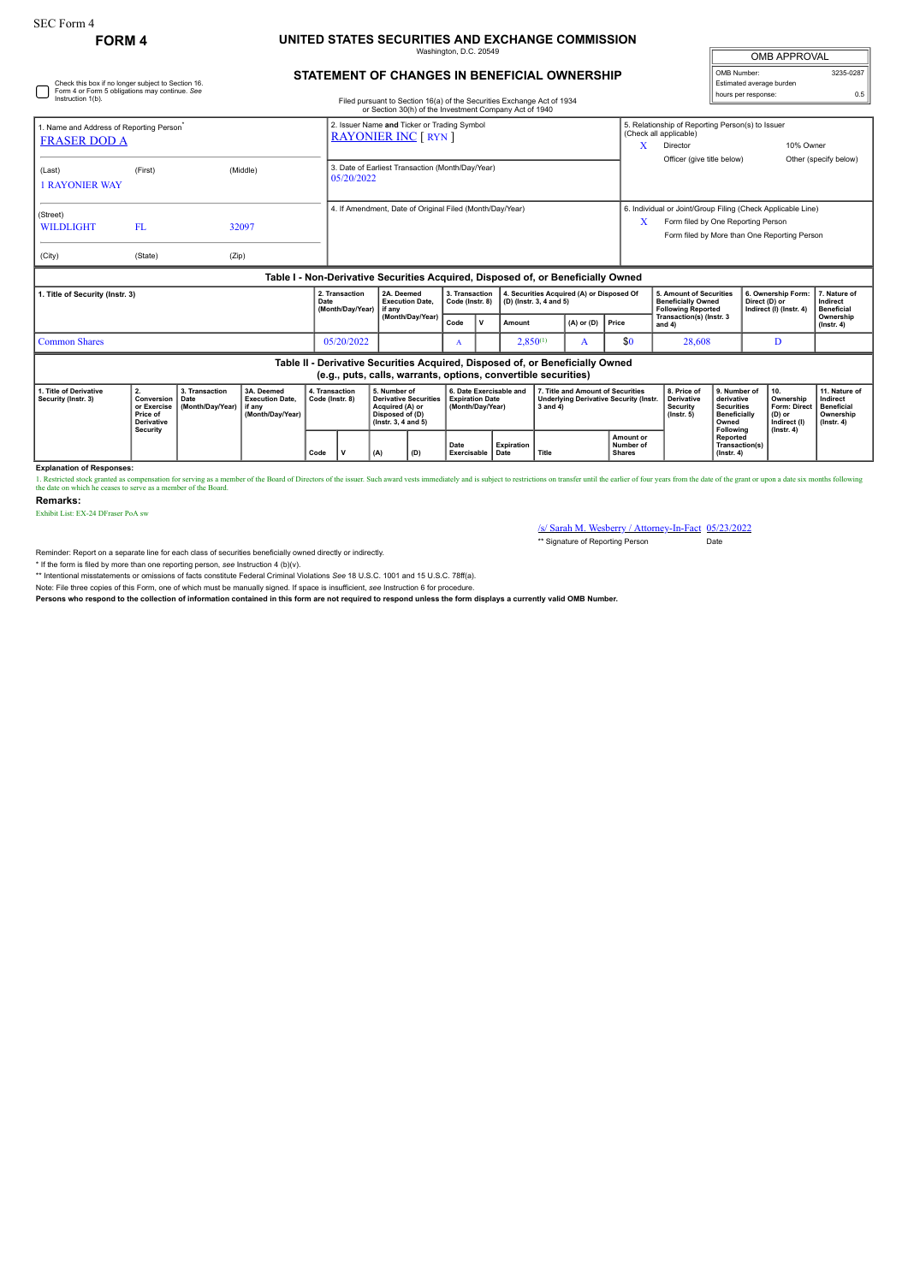# **FORM 4 UNITED STATES SECURITIES AND EXCHANGE COMMISSION** Washington, D.C. 20549

| <b>OMB APPROVAL</b>      |           |  |  |  |  |
|--------------------------|-----------|--|--|--|--|
| OMB Number:              | 3235-0287 |  |  |  |  |
| Estimated average burden |           |  |  |  |  |
| hours per response:      | 0.5       |  |  |  |  |

## **STATEMENT OF CHANGES IN BENEFICIAL OWNERSHIP**

| Check this box if no longer subject to Section 16.<br>Form 4 or Form 5 obligations may continue. See<br>Instruction 1(b). |                                                           |                                            |                                                                                  | Filed pursuant to Section 16(a) of the Securities Exchange Act of 1934<br>or Section 30(h) of the Investment Company Act of 1940 |                                                                                                          |                                                                            |                                                                                                                   |                          |                                                                       |                                                                |                                                                                                               |                                                                               |                                                                |                                                                                                                                                   | Estimated average burden<br>hours per response:                                              |     | 0.5                                                 |                                                                          |
|---------------------------------------------------------------------------------------------------------------------------|-----------------------------------------------------------|--------------------------------------------|----------------------------------------------------------------------------------|----------------------------------------------------------------------------------------------------------------------------------|----------------------------------------------------------------------------------------------------------|----------------------------------------------------------------------------|-------------------------------------------------------------------------------------------------------------------|--------------------------|-----------------------------------------------------------------------|----------------------------------------------------------------|---------------------------------------------------------------------------------------------------------------|-------------------------------------------------------------------------------|----------------------------------------------------------------|---------------------------------------------------------------------------------------------------------------------------------------------------|----------------------------------------------------------------------------------------------|-----|-----------------------------------------------------|--------------------------------------------------------------------------|
| 1. Name and Address of Reporting Person <sup>®</sup><br><b>FRASER DOD A</b>                                               |                                                           |                                            |                                                                                  |                                                                                                                                  |                                                                                                          | 2. Issuer Name and Ticker or Trading Symbol<br><b>RAYONIER INC [ RYN ]</b> |                                                                                                                   |                          |                                                                       |                                                                |                                                                                                               |                                                                               |                                                                | 5. Relationship of Reporting Person(s) to Issuer<br>(Check all applicable)<br>10% Owner<br>X<br>Director                                          |                                                                                              |     |                                                     |                                                                          |
| (Last)<br><b>1 RAYONIER WAY</b>                                                                                           | (First)                                                   |                                            | (Middle)                                                                         |                                                                                                                                  | 3. Date of Earliest Transaction (Month/Day/Year)<br>05/20/2022                                           |                                                                            |                                                                                                                   |                          |                                                                       |                                                                |                                                                                                               |                                                                               |                                                                | Officer (give title below)<br>Other (specify below)                                                                                               |                                                                                              |     |                                                     |                                                                          |
| (Street)<br><b>WILDLIGHT</b><br>(City)                                                                                    | FL.<br>(State)                                            | (Zip)                                      | 32097                                                                            |                                                                                                                                  | 4. If Amendment, Date of Original Filed (Month/Day/Year)                                                 |                                                                            |                                                                                                                   |                          |                                                                       |                                                                |                                                                                                               |                                                                               | X                                                              | 6. Individual or Joint/Group Filing (Check Applicable Line)<br>Form filed by One Reporting Person<br>Form filed by More than One Reporting Person |                                                                                              |     |                                                     |                                                                          |
|                                                                                                                           |                                                           |                                            | Table I - Non-Derivative Securities Acquired, Disposed of, or Beneficially Owned |                                                                                                                                  |                                                                                                          |                                                                            |                                                                                                                   |                          |                                                                       |                                                                |                                                                                                               |                                                                               |                                                                |                                                                                                                                                   |                                                                                              |     |                                                     |                                                                          |
| 1. Title of Security (Instr. 3)                                                                                           |                                                           |                                            |                                                                                  | Date                                                                                                                             | 2. Transaction<br>2A. Deemed<br><b>Execution Date.</b><br>(Month/Dav/Year)<br>if anv<br>(Month/Day/Year) |                                                                            | 4. Securities Acquired (A) or Disposed Of<br>3. Transaction<br>(D) (lnstr. 3, 4 and 5)<br>Code (Instr. 8)<br>Code |                          |                                                                       |                                                                | 5. Amount of Securities<br><b>Beneficially Owned</b><br><b>Following Reported</b><br>Transaction(s) (Instr. 3 |                                                                               | 6. Ownership Form:<br>Direct (D) or<br>Indirect (I) (Instr. 4) |                                                                                                                                                   | 7. Nature of<br>Indirect<br><b>Beneficial</b><br>Ownership                                   |     |                                                     |                                                                          |
| <b>Common Shares</b>                                                                                                      |                                                           |                                            |                                                                                  |                                                                                                                                  | 05/20/2022                                                                                               |                                                                            |                                                                                                                   |                          | v                                                                     | Amount<br>$2,850^{(1)}$                                        |                                                                                                               | $(A)$ or $(D)$<br>A                                                           | Price<br>\$0                                                   | and 4)<br>28.608                                                                                                                                  |                                                                                              | D   |                                                     | $($ lnstr. 4 $)$                                                         |
|                                                                                                                           |                                                           |                                            |                                                                                  |                                                                                                                                  |                                                                                                          |                                                                            |                                                                                                                   |                          |                                                                       | (e.g., puts, calls, warrants, options, convertible securities) |                                                                                                               | Table II - Derivative Securities Acquired, Disposed of, or Beneficially Owned |                                                                |                                                                                                                                                   |                                                                                              |     |                                                     |                                                                          |
| 1. Title of Derivative<br>Security (Instr. 3)                                                                             | 2.<br>Conversion<br>or Exercise<br>Price of<br>Derivative | 3. Transaction<br>Date<br>(Month/Dav/Year) | 3A. Deemed<br><b>Execution Date.</b><br>if anv<br>(Month/Day/Year)               |                                                                                                                                  | 4. Transaction<br>Code (Instr. 8)                                                                        |                                                                            | 5. Number of<br><b>Derivative Securities</b><br>Acquired (A) or<br>Disposed of (D)<br>$($ lnstr. 3. 4 and 5)      |                          | 6. Date Exercisable and<br><b>Expiration Date</b><br>(Month/Dav/Year) |                                                                | 7. Title and Amount of Securities<br><b>Underlying Derivative Security (Instr.</b><br>$3$ and $4)$            |                                                                               |                                                                | 8. Price of<br>Derivative<br><b>Security</b><br>$($ lnstr. 5 $)$                                                                                  | 9. Number of<br>derivative<br><b>Securities</b><br><b>Beneficially</b><br>Owned<br>Following | 10. | Ownership<br>Form: Direct<br>(D) or<br>Indirect (I) | 11. Nature of<br>Indirect<br>Beneficial<br>Ownership<br>$($ lnstr. 4 $)$ |
|                                                                                                                           | <b>Security</b>                                           |                                            |                                                                                  | Code                                                                                                                             | v                                                                                                        | (A)                                                                        | (D)                                                                                                               | Date<br>Exercisable Date |                                                                       | <b>Expiration</b>                                              | Title                                                                                                         |                                                                               | Amount or<br>Number of<br><b>Shares</b>                        |                                                                                                                                                   | Reported<br>Transaction(s)<br>$($ lnstr $, 4)$                                               |     | $($ lnstr. 4 $)$                                    |                                                                          |

### **Explanation of Responses:**

1. Restricted stock ganted as compensation for serving as a member of the Board of Directors of the issuer. Such award vests immediately and is subject to restrictions on transfer until the earlier of four years from the d

#### **Remarks:**

Exhibit List: EX-24 DFraser PoA sw

/s/ Sarah M. Wesberry / Attorney-In-Fact 05/23/2022 \*\* Signature of Reporting Person Date

Reminder: Report on a separate line for each class of securities beneficially owned directly or indirectly.

\* If the form is filed by more than one reporting person, *see* Instruction 4 (b)(v).

\*\* Intentional misstatements or omissions of facts constitute Federal Criminal Violations *See* 18 U.S.C. 1001 and 15 U.S.C. 78ff(a).

Note: File three copies of this Form, one of which must be manually signed. If space is insufficient, *see* Instruction 6 for procedure.

**Persons who respond to the collection of information contained in this form are not required to respond unless the form displays a currently valid OMB Number.**